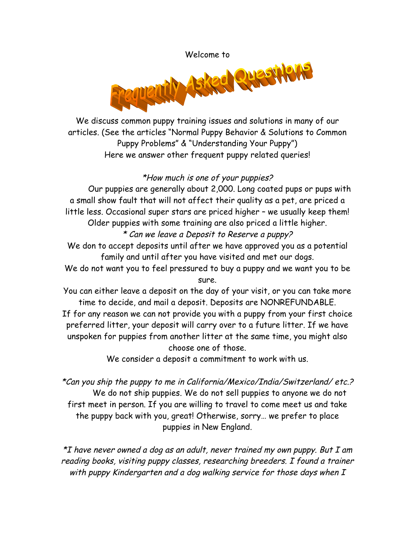

We discuss common puppy training issues and solutions in many of our articles. (See the articles "Normal Puppy Behavior & Solutions to Common Puppy Problems" & "Understanding Your Puppy") Here we answer other frequent puppy related queries!

### \*How much is one of your puppies?

Our puppies are generally about 2,000. Long coated pups or pups with a small show fault that will not affect their quality as a pet, are priced a little less. Occasional super stars are priced higher – we usually keep them! Older puppies with some training are also priced a little higher.

# \* Can we leave a Deposit to Reserve a puppy?

We don to accept deposits until after we have approved you as a potential family and until after you have visited and met our dogs.

We do not want you to feel pressured to buy a puppy and we want you to be sure.

You can either leave a deposit on the day of your visit, or you can take more time to decide, and mail a deposit. Deposits are NONREFUNDABLE.

If for any reason we can not provide you with a puppy from your first choice preferred litter, your deposit will carry over to a future litter. If we have unspoken for puppies from another litter at the same time, you might also choose one of those.

We consider a deposit a commitment to work with us.

\*Can you ship the puppy to me in California/Mexico/India/Switzerland/ etc.? We do not ship puppies. We do not sell puppies to anyone we do not first meet in person. If you are willing to travel to come meet us and take the puppy back with you, great! Otherwise, sorry… we prefer to place puppies in New England.

\*I have never owned a dog as an adult, never trained my own puppy. But I am reading books, visiting puppy classes, researching breeders. I found a trainer with puppy Kindergarten and a dog walking service for those days when I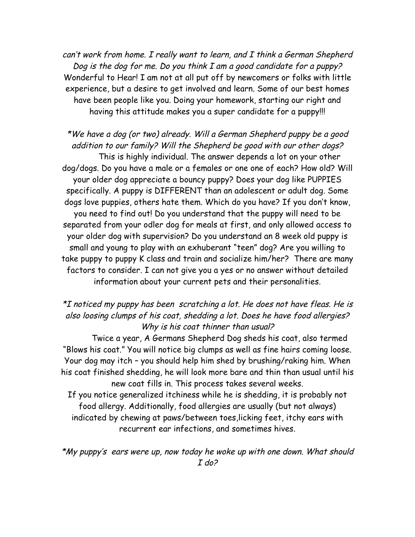can't work from home. I really want to learn, and I think a German Shepherd Dog is the dog for me. Do you think I am a good candidate for a puppy? Wonderful to Hear! I am not at all put off by newcomers or folks with little experience, but a desire to get involved and learn. Some of our best homes have been people like you. Doing your homework, starting our right and having this attitude makes you a super candidate for a puppy!!!

\*We have a dog (or two) already. Will a German Shepherd puppy be a good addition to our family? Will the Shepherd be good with our other dogs? This is highly individual. The answer depends a lot on your other dog/dogs. Do you have a male or a females or one one of each? How old? Will your older dog appreciate a bouncy puppy? Does your dog like PUPPIES specifically. A puppy is DIFFERENT than an adolescent or adult dog. Some dogs love puppies, others hate them. Which do you have? If you don't know, you need to find out! Do you understand that the puppy will need to be separated from your odler dog for meals at first, and only allowed access to your older dog with supervision? Do you understand an 8 week old puppy is small and young to play with an exhuberant "teen" dog? Are you willing to take puppy to puppy K class and train and socialize him/her? There are many factors to consider. I can not give you a yes or no answer without detailed information about your current pets and their personalities.

## \*I noticed my puppy has been scratching a lot. He does not have fleas. He is also loosing clumps of his coat, shedding a lot. Does he have food allergies? Why is his coat thinner than usual?

Twice a year, A Germans Shepherd Dog sheds his coat, also termed "Blows his coat." You will notice big clumps as well as fine hairs coming loose. Your dog may itch – you should help him shed by brushing/raking him. When his coat finished shedding, he will look more bare and thin than usual until his new coat fills in. This process takes several weeks. If you notice generalized itchiness while he is shedding, it is probably not food allergy. Additionally, food allergies are usually (but not always) indicated by chewing at paws/between toes,licking feet, itchy ears with recurrent ear infections, and sometimes hives.

\*My puppy's ears were up, now today he woke up with one down. What should I do?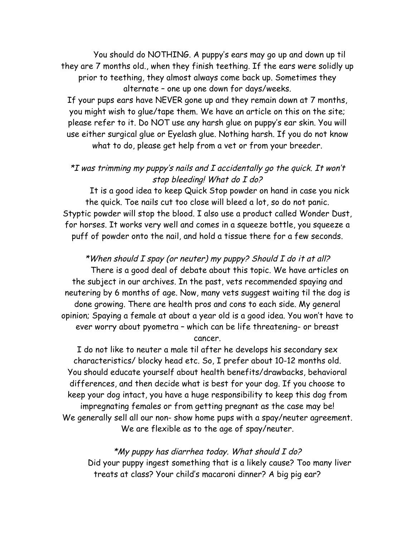You should do NOTHING. A puppy's ears may go up and down up til they are 7 months old., when they finish teething. If the ears were solidly up prior to teething, they almost always come back up. Sometimes they alternate – one up one down for days/weeks. If your pups ears have NEVER gone up and they remain down at 7 months,

you might wish to glue/tape them. We have an article on this on the site; please refer to it. Do NOT use any harsh glue on puppy's ear skin. You will use either surgical glue or Eyelash glue. Nothing harsh. If you do not know what to do, please get help from a vet or from your breeder.

### $*I$  was trimming my puppy's nails and I accidentally go the quick. It won't stop bleeding! What do I do?

It is a good idea to keep Quick Stop powder on hand in case you nick the quick. Toe nails cut too close will bleed a lot, so do not panic. Styptic powder will stop the blood. I also use a product called Wonder Dust, for horses. It works very well and comes in a squeeze bottle, you squeeze a puff of powder onto the nail, and hold a tissue there for a few seconds.

\*When should I spay (or neuter) my puppy? Should I do it at all? There is a good deal of debate about this topic. We have articles on the subject in our archives. In the past, vets recommended spaying and neutering by 6 months of age. Now, many vets suggest waiting til the dog is done growing. There are health pros and cons to each side. My general opinion; Spaying a female at about a year old is a good idea. You won't have to ever worry about pyometra – which can be life threatening- or breast cancer.

I do not like to neuter a male til after he develops his secondary sex characteristics/ blocky head etc. So, I prefer about 10-12 months old. You should educate yourself about health benefits/drawbacks, behavioral differences, and then decide what is best for your dog. If you choose to keep your dog intact, you have a huge responsibility to keep this dog from impregnating females or from getting pregnant as the case may be! We generally sell all our non- show home pups with a spay/neuter agreement. We are flexible as to the age of spay/neuter.

\*My puppy has diarrhea today. What should I do? Did your puppy ingest something that is a likely cause? Too many liver treats at class? Your child's macaroni dinner? A big pig ear?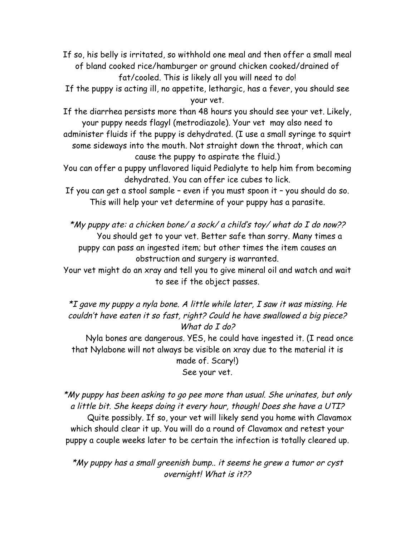If so, his belly is irritated, so withhold one meal and then offer a small meal of bland cooked rice/hamburger or ground chicken cooked/drained of fat/cooled. This is likely all you will need to do!

If the puppy is acting ill, no appetite, lethargic, has a fever, you should see your vet.

If the diarrhea persists more than 48 hours you should see your vet. Likely, your puppy needs flagyl (metrodiazole). Your vet may also need to

administer fluids if the puppy is dehydrated. (I use a small syringe to squirt some sideways into the mouth. Not straight down the throat, which can cause the puppy to aspirate the fluid.)

You can offer a puppy unflavored liquid Pedialyte to help him from becoming dehydrated. You can offer ice cubes to lick.

If you can get a stool sample – even if you must spoon it – you should do so. This will help your vet determine of your puppy has a parasite.

\*My puppy ate: a chicken bone/ a sock/ a child's toy/ what do I do now?? You should get to your vet. Better safe than sorry. Many times a puppy can pass an ingested item; but other times the item causes an obstruction and surgery is warranted.

Your vet might do an xray and tell you to give mineral oil and watch and wait to see if the object passes.

\*I gave my puppy a nyla bone. A little while later, I saw it was missing. He couldn't have eaten it so fast, right? Could he have swallowed a big piece? What do I do?

Nyla bones are dangerous. YES, he could have ingested it. (I read once that Nylabone will not always be visible on xray due to the material it is made of. Scary!) See your vet.

\*My puppy has been asking to go pee more than usual. She urinates, but only a little bit. She keeps doing it every hour, though! Does she have a UTI? Quite possibly. If so, your vet will likely send you home with Clavamox which should clear it up. You will do a round of Clavamox and retest your puppy a couple weeks later to be certain the infection is totally cleared up.

\*My puppy has a small greenish bump.. it seems he grew a tumor or cyst overnight! What is it??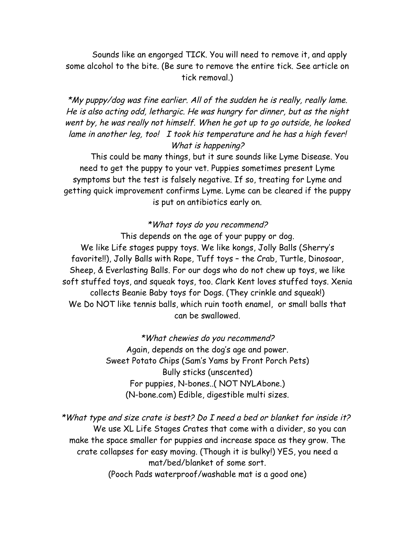Sounds like an engorged TICK. You will need to remove it, and apply some alcohol to the bite. (Be sure to remove the entire tick. See article on tick removal.)

\*My puppy/dog was fine earlier. All of the sudden he is really, really lame. He is also acting odd, lethargic. He was hungry for dinner, but as the night went by, he was really not himself. When he got up to go outside, he looked lame in another leg, too! I took his temperature and he has a high fever! What is happening?

This could be many things, but it sure sounds like Lyme Disease. You need to get the puppy to your vet. Puppies sometimes present Lyme symptoms but the test is falsely negative. If so, treating for Lyme and getting quick improvement confirms Lyme. Lyme can be cleared if the puppy is put on antibiotics early on.

#### \*What toys do you recommend?

This depends on the age of your puppy or dog. We like Life stages puppy toys. We like kongs, Jolly Balls (Sherry's favorite!!), Jolly Balls with Rope, Tuff toys – the Crab, Turtle, Dinosoar, Sheep, & Everlasting Balls. For our dogs who do not chew up toys, we like soft stuffed toys, and squeak toys, too. Clark Kent loves stuffed toys. Xenia collects Beanie Baby toys for Dogs. (They crinkle and squeak!) We Do NOT like tennis balls, which ruin tooth enamel, or small balls that can be swallowed.

> \*What chewies do you recommend? Again, depends on the dog's age and power. Sweet Potato Chips (Sam's Yams by Front Porch Pets) Bully sticks (unscented) For puppies, N-bones..( NOT NYLAbone.) (N-bone.com) Edible, digestible multi sizes.

\*What type and size crate is best? Do I need a bed or blanket for inside it? We use XL Life Stages Crates that come with a divider, so you can make the space smaller for puppies and increase space as they grow. The crate collapses for easy moving. (Though it is bulky!) YES, you need a mat/bed/blanket of some sort.

(Pooch Pads waterproof/washable mat is a good one)